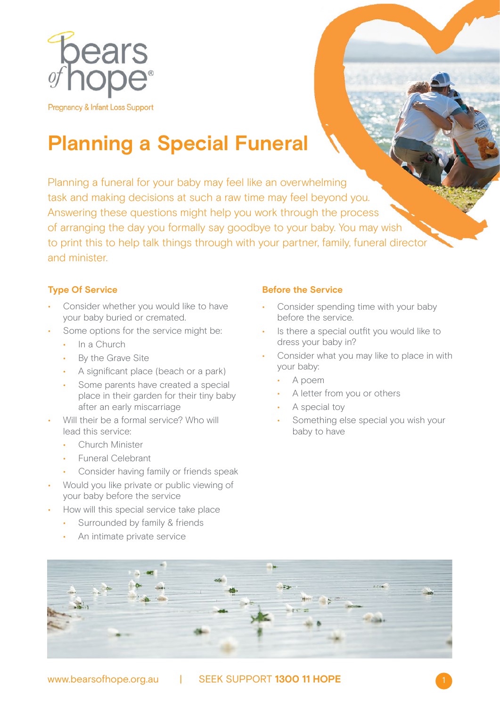

**Planning a Special Funeral**

Planning a funeral for your baby may feel like an overwhelming task and making decisions at such a raw time may feel beyond you. Answering these questions might help you work through the process of arranging the day you formally say goodbye to your baby. You may wish to print this to help talk things through with your partner, family, funeral director and minister.

# **Type Of Service**

- Consider whether you would like to have your baby buried or cremated.
- Some options for the service might be:
	- In a Church
	- By the Grave Site
	- A significant place (beach or a park)
	- Some parents have created a special place in their garden for their tiny baby after an early miscarriage
- Will their be a formal service? Who will lead this service:
	- Church Minister
	- Funeral Celebrant
	- Consider having family or friends speak
- Would you like private or public viewing of your baby before the service
- How will this special service take place
	- Surrounded by family & friends
	- An intimate private service

## **Before the Service**

- Consider spending time with your baby before the service.
- Is there a special outfit you would like to dress your baby in?
- Consider what you may like to place in with your baby:
	- A poem
	- A letter from you or others
	- A special toy
	- Something else special you wish your baby to have